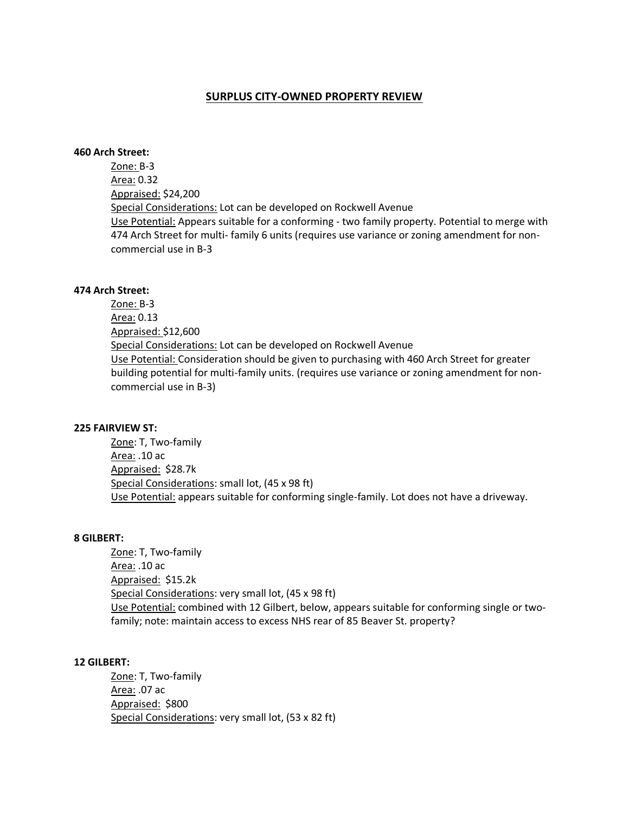## **SURPLUS CITY-OWNED PROPERTY REVIEW**

## **460 Arch Street:**

Zone: B-3 Area: 0.32 Appraised: \$24,200 Special Considerations: Lot can be developed on Rockwell Avenue Use Potential: Appears suitable for a conforming - two family property. Potential to merge with 474 Arch Street for multi- family 6 units (requires use variance or zoning amendment for noncommercial use in B-3

### **474 Arch Street:**

Zone: B-3 Area: 0.13 Appraised: \$12,600 Special Considerations: Lot can be developed on Rockwell Avenue Use Potential: Consideration should be given to purchasing with 460 Arch Street for greater building potential for multi-family units. (requires use variance or zoning amendment for noncommercial use in B-3)

#### **225 FAIRVIEW ST:**

Zone: T, Two-family Area: .10 ac Appraised: \$28.7k Special Considerations: small lot, (45 x 98 ft) Use Potential: appears suitable for conforming single-family. Lot does not have a driveway.

### **8 GILBERT:**

Zone: T, Two-family Area: .10 ac Appraised: \$15.2k Special Considerations: very small lot, (45 x 98 ft) Use Potential: combined with 12 Gilbert, below, appears suitable for conforming single or twofamily; note: maintain access to excess NHS rear of 85 Beaver St. property?

#### **12 GILBERT:**

Zone: T, Two-family Area: .07 ac Appraised: \$800 Special Considerations: very small lot, (53 x 82 ft)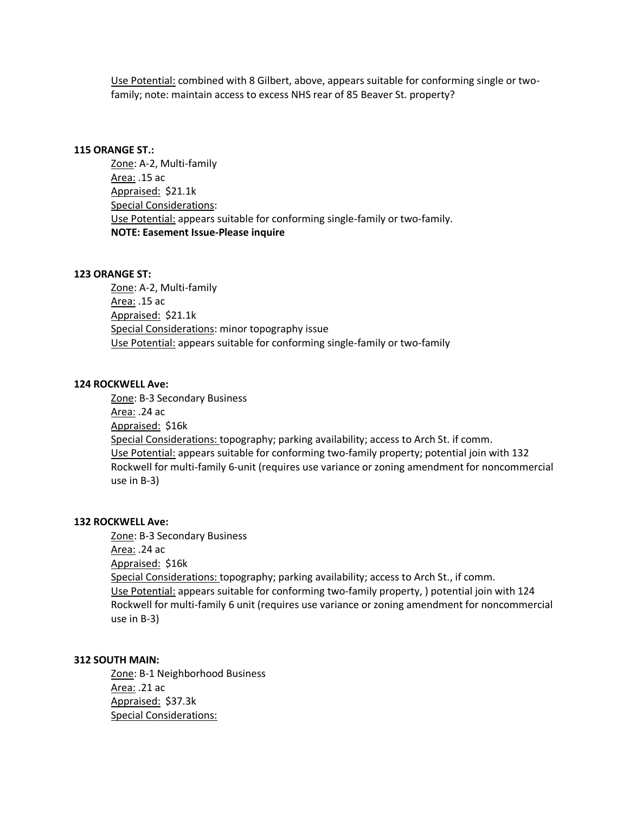Use Potential: combined with 8 Gilbert, above, appears suitable for conforming single or twofamily; note: maintain access to excess NHS rear of 85 Beaver St. property?

#### **115 ORANGE ST.:**

Zone: A-2, Multi-family Area: .15 ac Appraised: \$21.1k Special Considerations: Use Potential: appears suitable for conforming single-family or two-family. **NOTE: Easement Issue-Please inquire** 

#### **123 ORANGE ST:**

Zone: A-2, Multi-family Area: .15 ac Appraised: \$21.1k Special Considerations: minor topography issue Use Potential: appears suitable for conforming single-family or two-family

### **124 ROCKWELL Ave:**

Zone: B-3 Secondary Business Area: .24 ac Appraised: \$16k Special Considerations: topography; parking availability; access to Arch St. if comm. Use Potential: appears suitable for conforming two-family property; potential join with 132 Rockwell for multi-family 6-unit (requires use variance or zoning amendment for noncommercial use in B-3)

### **132 ROCKWELL Ave:**

Zone: B-3 Secondary Business Area: .24 ac Appraised: \$16k Special Considerations: topography; parking availability; access to Arch St., if comm. Use Potential: appears suitable for conforming two-family property, ) potential join with 124 Rockwell for multi-family 6 unit (requires use variance or zoning amendment for noncommercial use in B-3)

## **312 SOUTH MAIN:**

Zone: B-1 Neighborhood Business Area: .21 ac Appraised: \$37.3k Special Considerations: